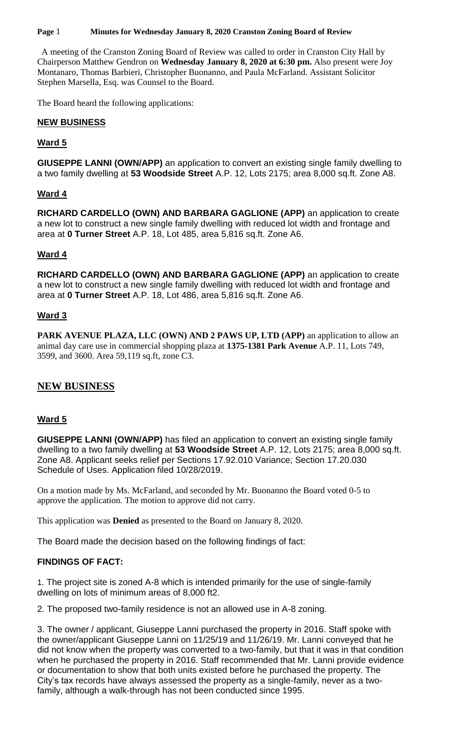**Page** 1 **Minutes for Wednesday January 8, 2020 Cranston Zoning Board of Review**

 A meeting of the Cranston Zoning Board of Review was called to order in Cranston City Hall by Chairperson Matthew Gendron on **Wednesday January 8, 2020 at 6:30 pm.** Also present were Joy Montanaro, Thomas Barbieri, Christopher Buonanno, and Paula McFarland. Assistant Solicitor Stephen Marsella, Esq. was Counsel to the Board.

The Board heard the following applications:

#### **NEW BUSINESS**

# **Ward 5**

**GIUSEPPE LANNI (OWN/APP)** an application to convert an existing single family dwelling to a two family dwelling at **53 Woodside Street** A.P. 12, Lots 2175; area 8,000 sq.ft. Zone A8.

## **Ward 4**

**RICHARD CARDELLO (OWN) AND BARBARA GAGLIONE (APP)** an application to create a new lot to construct a new single family dwelling with reduced lot width and frontage and area at **0 Turner Street** A.P. 18, Lot 485, area 5,816 sq.ft. Zone A6.

## **Ward 4**

**RICHARD CARDELLO (OWN) AND BARBARA GAGLIONE (APP)** an application to create a new lot to construct a new single family dwelling with reduced lot width and frontage and area at **0 Turner Street** A.P. 18, Lot 486, area 5,816 sq.ft. Zone A6.

# **Ward 3**

**PARK AVENUE PLAZA, LLC (OWN) AND 2 PAWS UP, LTD (APP)** an application to allow an animal day care use in commercial shopping plaza at **1375-1381 Park Avenue** A.P. 11, Lots 749, 3599, and 3600. Area 59,119 sq.ft, zone C3.

# **NEW BUSINESS**

## **Ward 5**

**GIUSEPPE LANNI (OWN/APP)** has filed an application to convert an existing single family dwelling to a two family dwelling at **53 Woodside Street** A.P. 12, Lots 2175; area 8,000 sq.ft. Zone A8. Applicant seeks relief per Sections 17.92.010 Variance; Section 17.20.030 Schedule of Uses. Application filed 10/28/2019.

On a motion made by Ms. McFarland, and seconded by Mr. Buonanno the Board voted 0-5 to approve the application. The motion to approve did not carry.

This application was **Denied** as presented to the Board on January 8, 2020.

The Board made the decision based on the following findings of fact:

## **FINDINGS OF FACT:**

1. The project site is zoned A-8 which is intended primarily for the use of single-family dwelling on lots of minimum areas of 8,000 ft2.

2. The proposed two-family residence is not an allowed use in A-8 zoning.

3. The owner / applicant, Giuseppe Lanni purchased the property in 2016. Staff spoke with the owner/applicant Giuseppe Lanni on 11/25/19 and 11/26/19. Mr. Lanni conveyed that he did not know when the property was converted to a two-family, but that it was in that condition when he purchased the property in 2016. Staff recommended that Mr. Lanni provide evidence or documentation to show that both units existed before he purchased the property. The City's tax records have always assessed the property as a single-family, never as a twofamily, although a walk-through has not been conducted since 1995.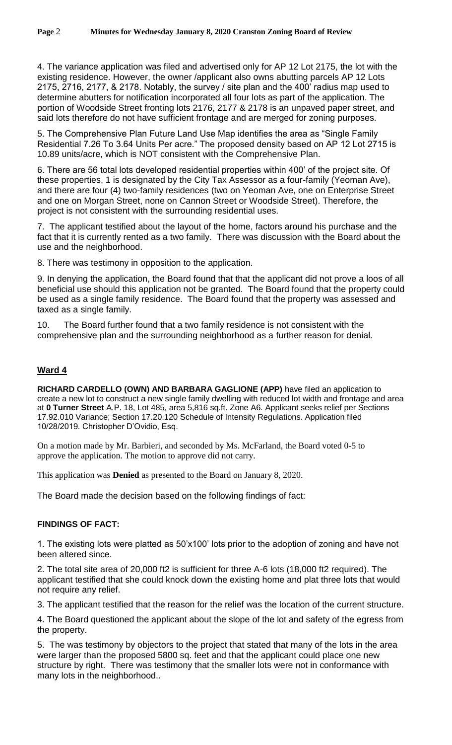4. The variance application was filed and advertised only for AP 12 Lot 2175, the lot with the existing residence. However, the owner /applicant also owns abutting parcels AP 12 Lots 2175, 2716, 2177, & 2178. Notably, the survey / site plan and the 400' radius map used to determine abutters for notification incorporated all four lots as part of the application. The portion of Woodside Street fronting lots 2176, 2177 & 2178 is an unpaved paper street, and said lots therefore do not have sufficient frontage and are merged for zoning purposes.

5. The Comprehensive Plan Future Land Use Map identifies the area as "Single Family Residential 7.26 To 3.64 Units Per acre." The proposed density based on AP 12 Lot 2715 is 10.89 units/acre, which is NOT consistent with the Comprehensive Plan.

6. There are 56 total lots developed residential properties within 400' of the project site. Of these properties, 1 is designated by the City Tax Assessor as a four-family (Yeoman Ave), and there are four (4) two-family residences (two on Yeoman Ave, one on Enterprise Street and one on Morgan Street, none on Cannon Street or Woodside Street). Therefore, the project is not consistent with the surrounding residential uses.

7. The applicant testified about the layout of the home, factors around his purchase and the fact that it is currently rented as a two family. There was discussion with the Board about the use and the neighborhood.

8. There was testimony in opposition to the application.

9. In denying the application, the Board found that that the applicant did not prove a loos of all beneficial use should this application not be granted. The Board found that the property could be used as a single family residence. The Board found that the property was assessed and taxed as a single family.

10. The Board further found that a two family residence is not consistent with the comprehensive plan and the surrounding neighborhood as a further reason for denial.

#### **Ward 4**

**RICHARD CARDELLO (OWN) AND BARBARA GAGLIONE (APP)** have filed an application to create a new lot to construct a new single family dwelling with reduced lot width and frontage and area at **0 Turner Street** A.P. 18, Lot 485, area 5,816 sq.ft. Zone A6. Applicant seeks relief per Sections 17.92.010 Variance; Section 17.20.120 Schedule of Intensity Regulations. Application filed 10/28/2019. Christopher D'Ovidio, Esq.

On a motion made by Mr. Barbieri, and seconded by Ms. McFarland, the Board voted 0-5 to approve the application. The motion to approve did not carry.

This application was **Denied** as presented to the Board on January 8, 2020.

The Board made the decision based on the following findings of fact:

#### **FINDINGS OF FACT:**

1. The existing lots were platted as 50'x100' lots prior to the adoption of zoning and have not been altered since.

2. The total site area of 20,000 ft2 is sufficient for three A-6 lots (18,000 ft2 required). The applicant testified that she could knock down the existing home and plat three lots that would not require any relief.

3. The applicant testified that the reason for the relief was the location of the current structure.

4. The Board questioned the applicant about the slope of the lot and safety of the egress from the property.

5. The was testimony by objectors to the project that stated that many of the lots in the area were larger than the proposed 5800 sq. feet and that the applicant could place one new structure by right. There was testimony that the smaller lots were not in conformance with many lots in the neighborhood..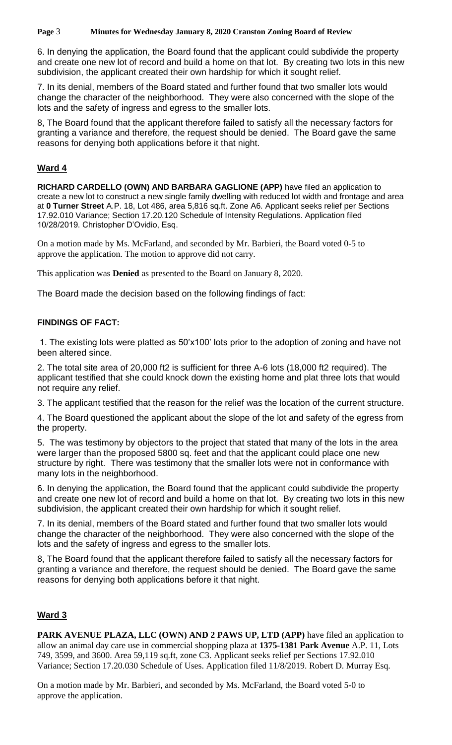**Page** 3 **Minutes for Wednesday January 8, 2020 Cranston Zoning Board of Review**

6. In denying the application, the Board found that the applicant could subdivide the property and create one new lot of record and build a home on that lot. By creating two lots in this new subdivision, the applicant created their own hardship for which it sought relief.

7. In its denial, members of the Board stated and further found that two smaller lots would change the character of the neighborhood. They were also concerned with the slope of the lots and the safety of ingress and egress to the smaller lots.

8, The Board found that the applicant therefore failed to satisfy all the necessary factors for granting a variance and therefore, the request should be denied. The Board gave the same reasons for denying both applications before it that night.

#### **Ward 4**

**RICHARD CARDELLO (OWN) AND BARBARA GAGLIONE (APP)** have filed an application to create a new lot to construct a new single family dwelling with reduced lot width and frontage and area at **0 Turner Street** A.P. 18, Lot 486, area 5,816 sq.ft. Zone A6. Applicant seeks relief per Sections 17.92.010 Variance; Section 17.20.120 Schedule of Intensity Regulations. Application filed 10/28/2019. Christopher D'Ovidio, Esq.

On a motion made by Ms. McFarland, and seconded by Mr. Barbieri, the Board voted 0-5 to approve the application. The motion to approve did not carry.

This application was **Denied** as presented to the Board on January 8, 2020.

The Board made the decision based on the following findings of fact:

#### **FINDINGS OF FACT:**

1. The existing lots were platted as 50'x100' lots prior to the adoption of zoning and have not been altered since.

2. The total site area of 20,000 ft2 is sufficient for three A-6 lots (18,000 ft2 required). The applicant testified that she could knock down the existing home and plat three lots that would not require any relief.

3. The applicant testified that the reason for the relief was the location of the current structure.

4. The Board questioned the applicant about the slope of the lot and safety of the egress from the property.

5. The was testimony by objectors to the project that stated that many of the lots in the area were larger than the proposed 5800 sq. feet and that the applicant could place one new structure by right. There was testimony that the smaller lots were not in conformance with many lots in the neighborhood.

6. In denying the application, the Board found that the applicant could subdivide the property and create one new lot of record and build a home on that lot. By creating two lots in this new subdivision, the applicant created their own hardship for which it sought relief.

7. In its denial, members of the Board stated and further found that two smaller lots would change the character of the neighborhood. They were also concerned with the slope of the lots and the safety of ingress and egress to the smaller lots.

8, The Board found that the applicant therefore failed to satisfy all the necessary factors for granting a variance and therefore, the request should be denied. The Board gave the same reasons for denying both applications before it that night.

## **Ward 3**

**PARK AVENUE PLAZA, LLC (OWN) AND 2 PAWS UP, LTD (APP)** have filed an application to allow an animal day care use in commercial shopping plaza at **1375-1381 Park Avenue** A.P. 11, Lots 749, 3599, and 3600. Area 59,119 sq.ft, zone C3. Applicant seeks relief per Sections 17.92.010 Variance; Section 17.20.030 Schedule of Uses. Application filed 11/8/2019. Robert D. Murray Esq.

On a motion made by Mr. Barbieri, and seconded by Ms. McFarland, the Board voted 5-0 to approve the application.